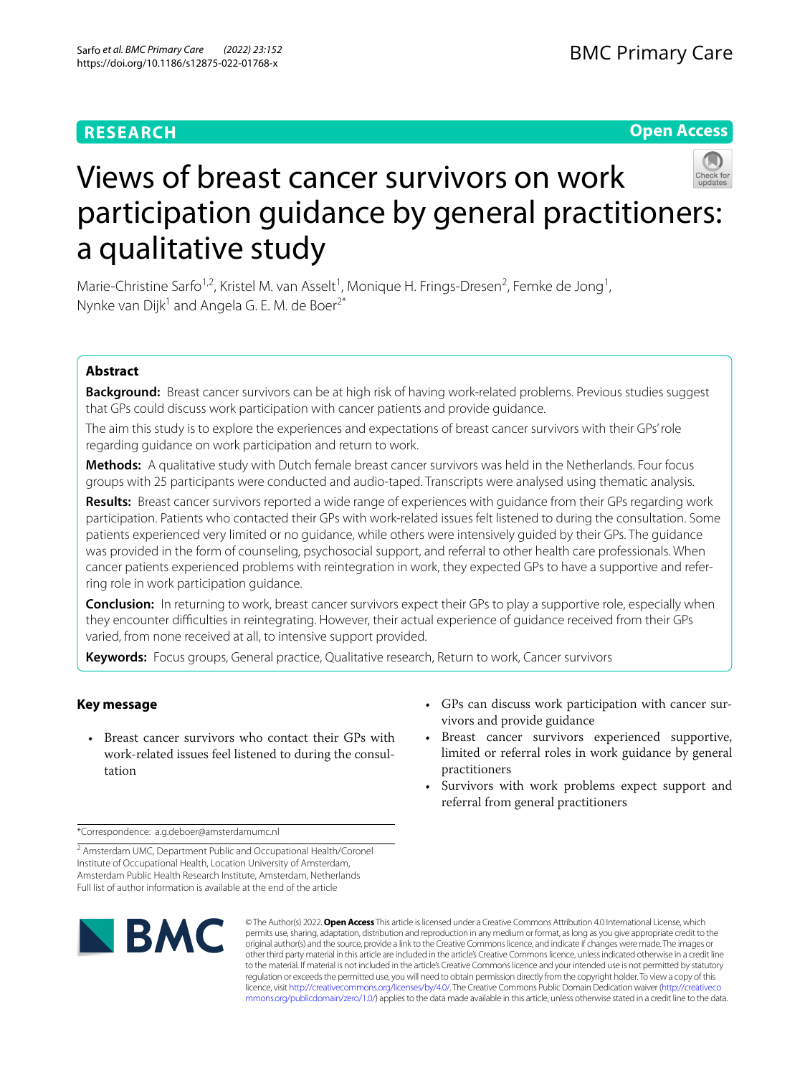# **RESEARCH**

# **Open Access**



# Views of breast cancer survivors on work participation guidance by general practitioners: a qualitative study

Marie-Christine Sarfo<sup>1,2</sup>, Kristel M. van Asselt<sup>1</sup>, Monique H. Frings-Dresen<sup>2</sup>, Femke de Jong<sup>1</sup>, Nynke van Dijk<sup>1</sup> and Angela G. E. M. de Boer<sup>2\*</sup>

# **Abstract**

**Background:** Breast cancer survivors can be at high risk of having work-related problems. Previous studies suggest that GPs could discuss work participation with cancer patients and provide guidance.

The aim this study is to explore the experiences and expectations of breast cancer survivors with their GPs' role regarding guidance on work participation and return to work.

**Methods:** A qualitative study with Dutch female breast cancer survivors was held in the Netherlands. Four focus groups with 25 participants were conducted and audio-taped. Transcripts were analysed using thematic analysis.

**Results:** Breast cancer survivors reported a wide range of experiences with guidance from their GPs regarding work participation. Patients who contacted their GPs with work-related issues felt listened to during the consultation. Some patients experienced very limited or no guidance, while others were intensively guided by their GPs. The guidance was provided in the form of counseling, psychosocial support, and referral to other health care professionals. When cancer patients experienced problems with reintegration in work, they expected GPs to have a supportive and referring role in work participation guidance.

**Conclusion:** In returning to work, breast cancer survivors expect their GPs to play a supportive role, especially when they encounter difficulties in reintegrating. However, their actual experience of guidance received from their GPs varied, from none received at all, to intensive support provided.

**Keywords:** Focus groups, General practice, Qualitative research, Return to work, Cancer survivors

# **Key message**

- Breast cancer survivors who contact their GPs with work-related issues feel listened to during the consultation
- GPs can discuss work participation with cancer survivors and provide guidance
- Breast cancer survivors experienced supportive, limited or referral roles in work guidance by general practitioners
- Survivors with work problems expect support and referral from general practitioners

\*Correspondence: a.g.deboer@amsterdamumc.nl

<sup>2</sup> Amsterdam UMC, Department Public and Occupational Health/Coronel Institute of Occupational Health, Location University of Amsterdam, Amsterdam Public Health Research Institute, Amsterdam, Netherlands Full list of author information is available at the end of the article



© The Author(s) 2022. **Open Access** This article is licensed under a Creative Commons Attribution 4.0 International License, which permits use, sharing, adaptation, distribution and reproduction in any medium or format, as long as you give appropriate credit to the original author(s) and the source, provide a link to the Creative Commons licence, and indicate if changes were made. The images or other third party material in this article are included in the article's Creative Commons licence, unless indicated otherwise in a credit line to the material. If material is not included in the article's Creative Commons licence and your intended use is not permitted by statutory regulation or exceeds the permitted use, you will need to obtain permission directly from the copyright holder. To view a copy of this licence, visit [http://creativecommons.org/licenses/by/4.0/.](http://creativecommons.org/licenses/by/4.0/) The Creative Commons Public Domain Dedication waiver ([http://creativeco](http://creativecommons.org/publicdomain/zero/1.0/) [mmons.org/publicdomain/zero/1.0/](http://creativecommons.org/publicdomain/zero/1.0/)) applies to the data made available in this article, unless otherwise stated in a credit line to the data.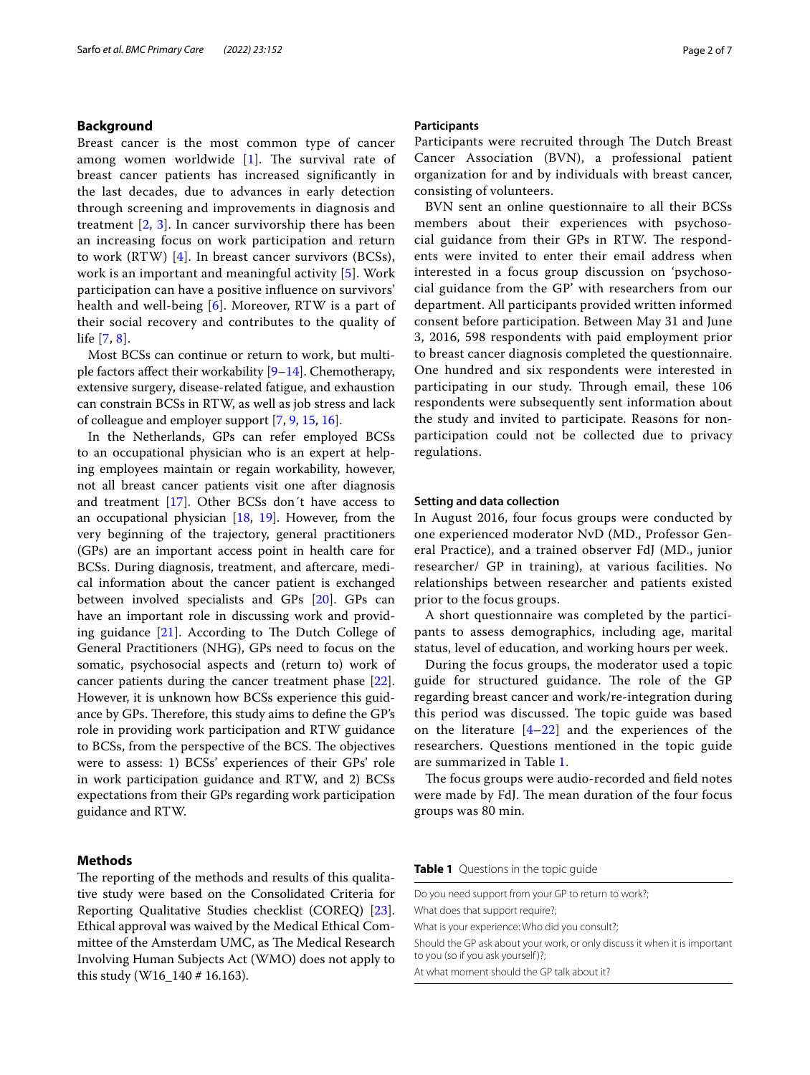# **Background**

Breast cancer is the most common type of cancer among women worldwide  $[1]$  $[1]$  $[1]$ . The survival rate of breast cancer patients has increased signifcantly in the last decades, due to advances in early detection through screening and improvements in diagnosis and treatment  $[2, 3]$  $[2, 3]$  $[2, 3]$  $[2, 3]$  $[2, 3]$ . In cancer survivorship there has been an increasing focus on work participation and return to work (RTW) [[4](#page-5-3)]. In breast cancer survivors (BCSs), work is an important and meaningful activity [[5\]](#page-5-4). Work participation can have a positive infuence on survivors' health and well-being [[6](#page-5-5)]. Moreover, RTW is a part of their social recovery and contributes to the quality of life [[7,](#page-5-6) [8](#page-5-7)].

Most BCSs can continue or return to work, but multiple factors affect their workability  $[9-14]$  $[9-14]$ . Chemotherapy, extensive surgery, disease-related fatigue, and exhaustion can constrain BCSs in RTW, as well as job stress and lack of colleague and employer support [\[7](#page-5-6), [9,](#page-5-8) [15,](#page-6-1) [16](#page-6-2)].

In the Netherlands, GPs can refer employed BCSs to an occupational physician who is an expert at helping employees maintain or regain workability, however, not all breast cancer patients visit one after diagnosis and treatment [\[17\]](#page-6-3). Other BCSs don´t have access to an occupational physician [\[18,](#page-6-4) [19](#page-6-5)]. However, from the very beginning of the trajectory, general practitioners (GPs) are an important access point in health care for BCSs. During diagnosis, treatment, and aftercare, medical information about the cancer patient is exchanged between involved specialists and GPs [\[20](#page-6-6)]. GPs can have an important role in discussing work and providing guidance  $[21]$  $[21]$ . According to The Dutch College of General Practitioners (NHG), GPs need to focus on the somatic, psychosocial aspects and (return to) work of cancer patients during the cancer treatment phase [\[22](#page-6-8)]. However, it is unknown how BCSs experience this guidance by GPs. Therefore, this study aims to define the GP's role in providing work participation and RTW guidance to BCSs, from the perspective of the BCS. The objectives were to assess: 1) BCSs' experiences of their GPs' role in work participation guidance and RTW, and 2) BCSs expectations from their GPs regarding work participation guidance and RTW.

## **Methods**

The reporting of the methods and results of this qualitative study were based on the Consolidated Criteria for Reporting Qualitative Studies checklist (COREQ) [\[23](#page-6-9)]. Ethical approval was waived by the Medical Ethical Committee of the Amsterdam UMC, as The Medical Research Involving Human Subjects Act (WMO) does not apply to this study (W16\_140 # 16.163).

#### **Participants**

Participants were recruited through The Dutch Breast Cancer Association (BVN), a professional patient organization for and by individuals with breast cancer, consisting of volunteers.

BVN sent an online questionnaire to all their BCSs members about their experiences with psychoso $cial$  guidance from their GPs in RTW. The respondents were invited to enter their email address when interested in a focus group discussion on 'psychosocial guidance from the GP' with researchers from our department. All participants provided written informed consent before participation. Between May 31 and June 3, 2016, 598 respondents with paid employment prior to breast cancer diagnosis completed the questionnaire. One hundred and six respondents were interested in participating in our study. Through email, these 106 respondents were subsequently sent information about the study and invited to participate. Reasons for nonparticipation could not be collected due to privacy regulations.

## **Setting and data collection**

In August 2016, four focus groups were conducted by one experienced moderator NvD (MD., Professor General Practice), and a trained observer FdJ (MD., junior researcher/ GP in training), at various facilities. No relationships between researcher and patients existed prior to the focus groups.

A short questionnaire was completed by the participants to assess demographics, including age, marital status, level of education, and working hours per week.

During the focus groups, the moderator used a topic guide for structured guidance. The role of the GP regarding breast cancer and work/re-integration during this period was discussed. The topic guide was based on the literature  $[4-22]$  $[4-22]$  and the experiences of the researchers. Questions mentioned in the topic guide are summarized in Table [1](#page-1-0).

The focus groups were audio-recorded and field notes were made by FdJ. The mean duration of the four focus groups was 80 min.

<span id="page-1-0"></span>**Table 1** Questions in the topic guide

Do you need support from your GP to return to work?; What does that support require?; What is your experience: Who did you consult?; Should the GP ask about your work, or only discuss it when it is important to you (so if you ask yourself)?;

At what moment should the GP talk about it?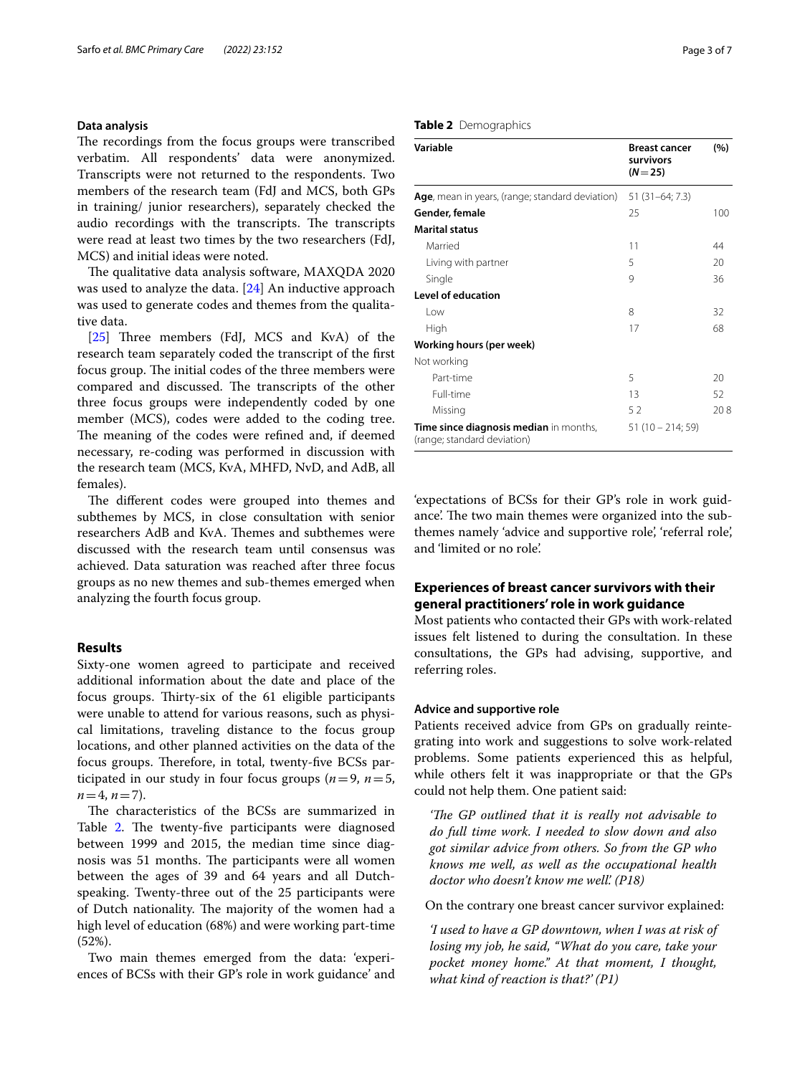# **Data analysis**

The recordings from the focus groups were transcribed verbatim. All respondents' data were anonymized. Transcripts were not returned to the respondents. Two members of the research team (FdJ and MCS, both GPs in training/ junior researchers), separately checked the audio recordings with the transcripts. The transcripts were read at least two times by the two researchers (FdJ, MCS) and initial ideas were noted.

The qualitative data analysis software, MAXODA 2020 was used to analyze the data. [\[24](#page-6-10)] An inductive approach was used to generate codes and themes from the qualitative data.

[[25\]](#page-6-11) Three members (FdJ, MCS and KvA) of the research team separately coded the transcript of the frst focus group. The initial codes of the three members were compared and discussed. The transcripts of the other three focus groups were independently coded by one member (MCS), codes were added to the coding tree. The meaning of the codes were refined and, if deemed necessary, re-coding was performed in discussion with the research team (MCS, KvA, MHFD, NvD, and AdB, all females).

The different codes were grouped into themes and subthemes by MCS, in close consultation with senior researchers AdB and KvA. Themes and subthemes were discussed with the research team until consensus was achieved. Data saturation was reached after three focus groups as no new themes and sub-themes emerged when analyzing the fourth focus group.

# **Results**

Sixty-one women agreed to participate and received additional information about the date and place of the focus groups. Thirty-six of the 61 eligible participants were unable to attend for various reasons, such as physical limitations, traveling distance to the focus group locations, and other planned activities on the data of the focus groups. Therefore, in total, twenty-five BCSs participated in our study in four focus groups ( $n=9$ ,  $n=5$ ,  $n=4, n=7$ ).

The characteristics of the BCSs are summarized in Table [2](#page-2-0). The twenty-five participants were diagnosed between 1999 and 2015, the median time since diagnosis was 51 months. The participants were all women between the ages of 39 and 64 years and all Dutchspeaking. Twenty-three out of the 25 participants were of Dutch nationality. The majority of the women had a high level of education (68%) and were working part-time (52%).

Two main themes emerged from the data: 'experiences of BCSs with their GP's role in work guidance' and

## <span id="page-2-0"></span>**Table 2** Demographics

| Variable                                                                     | <b>Breast cancer</b><br>survivors<br>$(N = 25)$ | (%) |
|------------------------------------------------------------------------------|-------------------------------------------------|-----|
| Age, mean in years, (range; standard deviation) $51$ (31–64; 7.3)            |                                                 |     |
| Gender, female                                                               | 25                                              | 100 |
| <b>Marital status</b>                                                        |                                                 |     |
| Married                                                                      | 11                                              | 44  |
| Living with partner                                                          | 5                                               | 20  |
| Single                                                                       | 9                                               | 36  |
| <b>Level of education</b>                                                    |                                                 |     |
| l ow                                                                         | 8                                               | 32  |
| High                                                                         | 17                                              | 68  |
| Working hours (per week)                                                     |                                                 |     |
| Not working                                                                  |                                                 |     |
| Part-time                                                                    | 5                                               | 20  |
| Full-time                                                                    | 13                                              | 52  |
| Missing                                                                      | 52                                              | 208 |
| <b>Time since diagnosis median</b> in months,<br>(range; standard deviation) | $51(10 - 214; 59)$                              |     |

'expectations of BCSs for their GP's role in work guidance'. The two main themes were organized into the subthemes namely 'advice and supportive role', 'referral role', and 'limited or no role'.

# **Experiences of breast cancer survivors with their general practitioners' role in work guidance**

Most patients who contacted their GPs with work-related issues felt listened to during the consultation. In these consultations, the GPs had advising, supportive, and referring roles.

#### **Advice and supportive role**

Patients received advice from GPs on gradually reintegrating into work and suggestions to solve work-related problems. Some patients experienced this as helpful, while others felt it was inappropriate or that the GPs could not help them. One patient said:

*'The GP outlined that it is really not advisable to do full time work. I needed to slow down and also got similar advice from others. So from the GP who knows me well, as well as the occupational health doctor who doesn't know me well'. (P18)*

On the contrary one breast cancer survivor explained:

*'I used to have a GP downtown, when I was at risk of losing my job, he said, "What do you care, take your pocket money home." At that moment, I thought, what kind of reaction is that?' (P1)*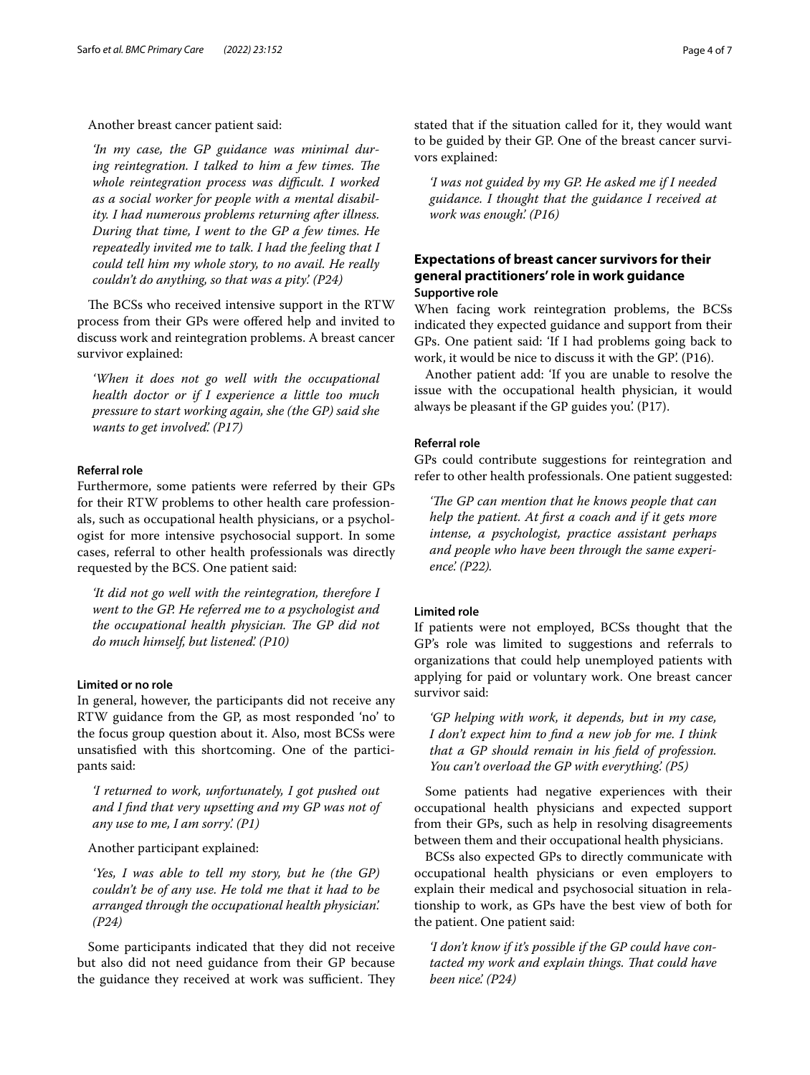## Another breast cancer patient said:

*'In my case, the GP guidance was minimal dur*ing reintegration. I talked to him a few times. The *whole reintegration process was difcult. I worked as a social worker for people with a mental disability. I had numerous problems returning after illness. During that time, I went to the GP a few times. He repeatedly invited me to talk. I had the feeling that I could tell him my whole story, to no avail. He really couldn't do anything, so that was a pity'. (P24)*

The BCSs who received intensive support in the RTW process from their GPs were ofered help and invited to discuss work and reintegration problems. A breast cancer survivor explained:

*'When it does not go well with the occupational health doctor or if I experience a little too much pressure to start working again, she (the GP) said she wants to get involved'. (P17)*

# **Referral role**

Furthermore, some patients were referred by their GPs for their RTW problems to other health care professionals, such as occupational health physicians, or a psychologist for more intensive psychosocial support. In some cases, referral to other health professionals was directly requested by the BCS. One patient said:

*'It did not go well with the reintegration, therefore I went to the GP. He referred me to a psychologist and the occupational health physician. The GP did not do much himself, but listened'. (P10)*

#### **Limited or no role**

In general, however, the participants did not receive any RTW guidance from the GP, as most responded 'no' to the focus group question about it. Also, most BCSs were unsatisfed with this shortcoming. One of the participants said:

*'I returned to work, unfortunately, I got pushed out and I fnd that very upsetting and my GP was not of any use to me, I am sorry'. (P1)*

Another participant explained:

*'Yes, I was able to tell my story, but he (the GP) couldn't be of any use. He told me that it had to be arranged through the occupational health physician'. (P24)*

Some participants indicated that they did not receive but also did not need guidance from their GP because the guidance they received at work was sufficient. They stated that if the situation called for it, they would want to be guided by their GP. One of the breast cancer survivors explained:

*'I was not guided by my GP. He asked me if I needed guidance. I thought that the guidance I received at work was enough'. (P16)*

# **Expectations of breast cancer survivors for their general practitioners' role in work guidance Supportive role**

When facing work reintegration problems, the BCSs indicated they expected guidance and support from their GPs. One patient said: 'If I had problems going back to work, it would be nice to discuss it with the GP'. (P16).

Another patient add: 'If you are unable to resolve the issue with the occupational health physician, it would always be pleasant if the GP guides you'. (P17).

# **Referral role**

GPs could contribute suggestions for reintegration and refer to other health professionals. One patient suggested:

*'The GP can mention that he knows people that can help the patient. At frst a coach and if it gets more intense, a psychologist, practice assistant perhaps and people who have been through the same experience'. (P22).*

#### **Limited role**

If patients were not employed, BCSs thought that the GP's role was limited to suggestions and referrals to organizations that could help unemployed patients with applying for paid or voluntary work. One breast cancer survivor said:

*'GP helping with work, it depends, but in my case, I don't expect him to fnd a new job for me. I think that a GP should remain in his feld of profession. You can't overload the GP with everything'. (P5)*

Some patients had negative experiences with their occupational health physicians and expected support from their GPs, such as help in resolving disagreements between them and their occupational health physicians.

BCSs also expected GPs to directly communicate with occupational health physicians or even employers to explain their medical and psychosocial situation in relationship to work, as GPs have the best view of both for the patient. One patient said:

*'I don't know if it's possible if the GP could have contacted my work and explain things. Tat could have been nice'. (P24)*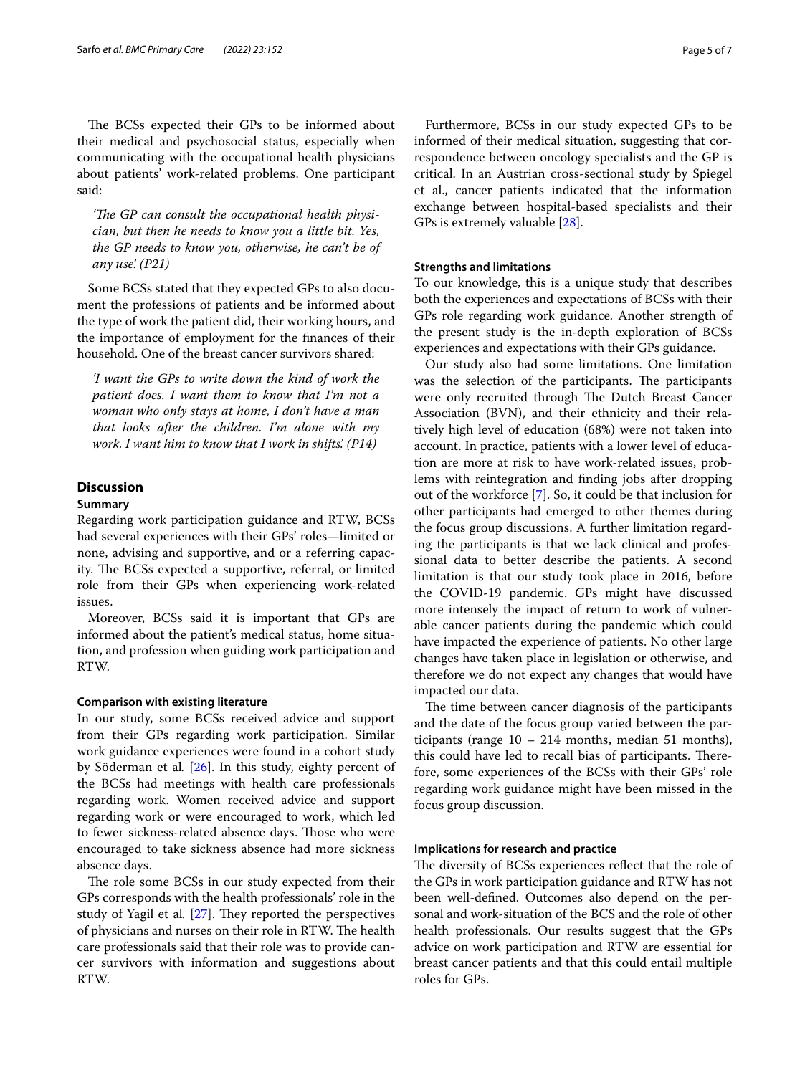The BCSs expected their GPs to be informed about their medical and psychosocial status, especially when communicating with the occupational health physicians about patients' work-related problems. One participant said:

'The GP can consult the occupational health physi*cian, but then he needs to know you a little bit. Yes, the GP needs to know you, otherwise, he can't be of any use'. (P21)*

Some BCSs stated that they expected GPs to also document the professions of patients and be informed about the type of work the patient did, their working hours, and the importance of employment for the fnances of their household. One of the breast cancer survivors shared:

*'I want the GPs to write down the kind of work the patient does. I want them to know that I'm not a woman who only stays at home, I don't have a man that looks after the children. I'm alone with my work. I want him to know that I work in shifts'. (P14)*

# **Discussion**

#### **Summary**

Regarding work participation guidance and RTW, BCSs had several experiences with their GPs' roles—limited or none, advising and supportive, and or a referring capacity. The BCSs expected a supportive, referral, or limited role from their GPs when experiencing work-related issues.

Moreover, BCSs said it is important that GPs are informed about the patient's medical status, home situation, and profession when guiding work participation and RTW.

#### **Comparison with existing literature**

In our study, some BCSs received advice and support from their GPs regarding work participation. Similar work guidance experiences were found in a cohort study by Söderman et al*.* [[26](#page-6-12)]. In this study, eighty percent of the BCSs had meetings with health care professionals regarding work. Women received advice and support regarding work or were encouraged to work, which led to fewer sickness-related absence days. Those who were encouraged to take sickness absence had more sickness absence days.

The role some BCSs in our study expected from their GPs corresponds with the health professionals' role in the study of Yagil et al. [[27\]](#page-6-13). They reported the perspectives of physicians and nurses on their role in RTW. The health care professionals said that their role was to provide cancer survivors with information and suggestions about RTW.

Furthermore, BCSs in our study expected GPs to be informed of their medical situation, suggesting that correspondence between oncology specialists and the GP is critical. In an Austrian cross-sectional study by Spiegel et al., cancer patients indicated that the information exchange between hospital-based specialists and their GPs is extremely valuable [[28\]](#page-6-14).

#### **Strengths and limitations**

To our knowledge, this is a unique study that describes both the experiences and expectations of BCSs with their GPs role regarding work guidance. Another strength of the present study is the in-depth exploration of BCSs experiences and expectations with their GPs guidance.

Our study also had some limitations. One limitation was the selection of the participants. The participants were only recruited through The Dutch Breast Cancer Association (BVN), and their ethnicity and their relatively high level of education (68%) were not taken into account. In practice, patients with a lower level of education are more at risk to have work-related issues, problems with reintegration and fnding jobs after dropping out of the workforce [\[7](#page-5-6)]. So, it could be that inclusion for other participants had emerged to other themes during the focus group discussions. A further limitation regarding the participants is that we lack clinical and professional data to better describe the patients. A second limitation is that our study took place in 2016, before the COVID-19 pandemic. GPs might have discussed more intensely the impact of return to work of vulnerable cancer patients during the pandemic which could have impacted the experience of patients. No other large changes have taken place in legislation or otherwise, and therefore we do not expect any changes that would have impacted our data.

The time between cancer diagnosis of the participants and the date of the focus group varied between the participants (range  $10 - 214$  months, median 51 months), this could have led to recall bias of participants. Therefore, some experiences of the BCSs with their GPs' role regarding work guidance might have been missed in the focus group discussion.

#### **Implications for research and practice**

The diversity of BCSs experiences reflect that the role of the GPs in work participation guidance and RTW has not been well-defned. Outcomes also depend on the personal and work-situation of the BCS and the role of other health professionals. Our results suggest that the GPs advice on work participation and RTW are essential for breast cancer patients and that this could entail multiple roles for GPs.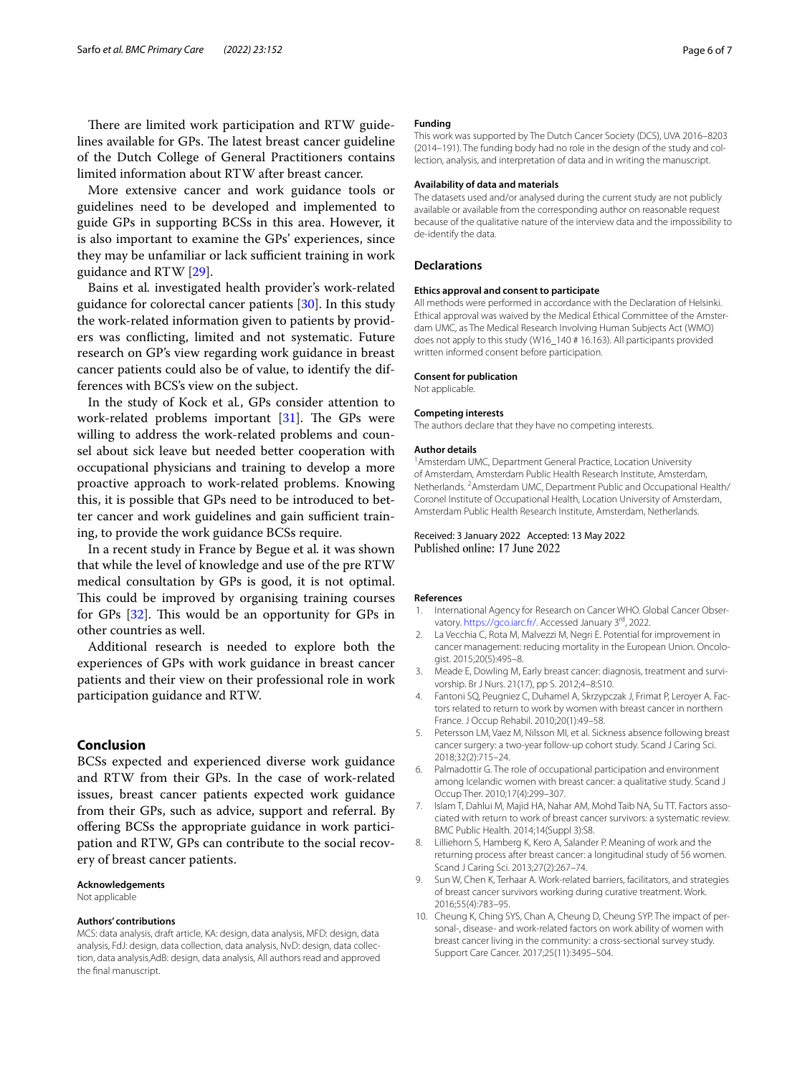There are limited work participation and RTW guidelines available for GPs. The latest breast cancer guideline of the Dutch College of General Practitioners contains limited information about RTW after breast cancer.

More extensive cancer and work guidance tools or guidelines need to be developed and implemented to guide GPs in supporting BCSs in this area. However, it is also important to examine the GPs' experiences, since they may be unfamiliar or lack sufficient training in work guidance and RTW [[29](#page-6-15)].

Bains et al*.* investigated health provider's work-related guidance for colorectal cancer patients [[30](#page-6-16)]. In this study the work-related information given to patients by providers was conficting, limited and not systematic. Future research on GP's view regarding work guidance in breast cancer patients could also be of value, to identify the differences with BCS's view on the subject.

In the study of Kock et al*.*, GPs consider attention to work-related problems important  $[31]$  $[31]$ . The GPs were willing to address the work-related problems and counsel about sick leave but needed better cooperation with occupational physicians and training to develop a more proactive approach to work-related problems. Knowing this, it is possible that GPs need to be introduced to better cancer and work guidelines and gain sufficient training, to provide the work guidance BCSs require.

In a recent study in France by Begue et al*.* it was shown that while the level of knowledge and use of the pre RTW medical consultation by GPs is good, it is not optimal. This could be improved by organising training courses for GPs  $[32]$ . This would be an opportunity for GPs in other countries as well.

Additional research is needed to explore both the experiences of GPs with work guidance in breast cancer patients and their view on their professional role in work participation guidance and RTW.

## **Conclusion**

BCSs expected and experienced diverse work guidance and RTW from their GPs. In the case of work-related issues, breast cancer patients expected work guidance from their GPs, such as advice, support and referral. By offering BCSs the appropriate guidance in work participation and RTW, GPs can contribute to the social recovery of breast cancer patients.

#### **Acknowledgements**

Not applicable

#### **Authors' contributions**

MCS: data analysis, draft article, KA: design, data analysis, MFD: design, data analysis, FdJ: design, data collection, data analysis, NvD: design, data collection, data analysis,AdB: design, data analysis, All authors read and approved the fnal manuscript.

#### **Funding**

This work was supported by The Dutch Cancer Society (DCS), UVA 2016–8203 (2014–191). The funding body had no role in the design of the study and col‑ lection, analysis, and interpretation of data and in writing the manuscript.

#### **Availability of data and materials**

The datasets used and/or analysed during the current study are not publicly available or available from the corresponding author on reasonable request because of the qualitative nature of the interview data and the impossibility to de-identify the data.

## **Declarations**

#### **Ethics approval and consent to participate**

All methods were performed in accordance with the Declaration of Helsinki. Ethical approval was waived by the Medical Ethical Committee of the Amsterdam UMC, as The Medical Research Involving Human Subjects Act (WMO) does not apply to this study (W16\_140 # 16.163). All participants provided written informed consent before participation.

#### **Consent for publication**

Not applicable.

#### **Competing interests**

The authors declare that they have no competing interests.

#### **Author details**

<sup>1</sup> Amsterdam UMC, Department General Practice, Location University of Amsterdam, Amsterdam Public Health Research Institute, Amsterdam, Netherlands. <sup>2</sup> Amsterdam UMC, Department Public and Occupational Health/ Coronel Institute of Occupational Health, Location University of Amsterdam, Amsterdam Public Health Research Institute, Amsterdam, Netherlands.

#### Received: 3 January 2022 Accepted: 13 May 2022 Published online: 17 June 2022

#### **References**

- <span id="page-5-0"></span>1. International Agency for Research on Cancer WHO. Global Cancer Observatory.<https://gco.iarc.fr/>. Accessed January 3<sup>rd</sup>, 2022.
- <span id="page-5-1"></span>2. La Vecchia C, Rota M, Malvezzi M, Negri E. Potential for improvement in cancer management: reducing mortality in the European Union. Oncologist. 2015;20(5):495–8.
- <span id="page-5-2"></span>3. Meade E, Dowling M, Early breast cancer: diagnosis, treatment and survivorship. Br J Nurs. 21(17), pp S. 2012;4–8:S10.
- <span id="page-5-3"></span>4. Fantoni SQ, Peugniez C, Duhamel A, Skrzypczak J, Frimat P, Leroyer A. Factors related to return to work by women with breast cancer in northern France. J Occup Rehabil. 2010;20(1):49–58.
- <span id="page-5-4"></span>5. Petersson LM, Vaez M, Nilsson MI, et al. Sickness absence following breast cancer surgery: a two-year follow-up cohort study. Scand J Caring Sci. 2018;32(2):715–24.
- <span id="page-5-5"></span>6. Palmadottir G. The role of occupational participation and environment among Icelandic women with breast cancer: a qualitative study. Scand J Occup Ther. 2010;17(4):299–307.
- <span id="page-5-6"></span>7. Islam T, Dahlui M, Majid HA, Nahar AM, Mohd Taib NA, Su TT. Factors associated with return to work of breast cancer survivors: a systematic review. BMC Public Health. 2014;14(Suppl 3):S8.
- <span id="page-5-7"></span>8. Lilliehorn S, Hamberg K, Kero A, Salander P. Meaning of work and the returning process after breast cancer: a longitudinal study of 56 women. Scand J Caring Sci. 2013;27(2):267–74.
- <span id="page-5-8"></span>9. Sun W, Chen K, Terhaar A. Work-related barriers, facilitators, and strategies of breast cancer survivors working during curative treatment. Work. 2016;55(4):783–95.
- 10. Cheung K, Ching SYS, Chan A, Cheung D, Cheung SYP. The impact of personal-, disease- and work-related factors on work ability of women with breast cancer living in the community: a cross-sectional survey study. Support Care Cancer. 2017;25(11):3495–504.